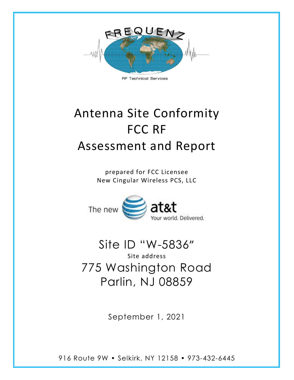

**RF Technical Services** 

# Antenna Site Conformity FCC RF Assessment and Report

prepared for FCC Licensee New Cingular Wireless PCS, LLC



at&t vorld, Delivered.

Site ID "W-5836" Site address 775 Washington Road Parlin, NJ 08859

September 1, 2021

916 Route 9W • Selkirk, NY 12158 • 973-432-6445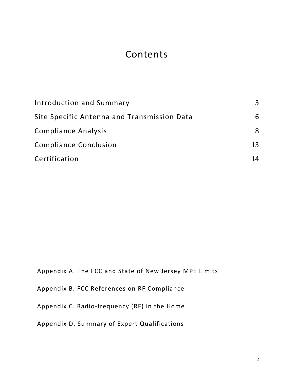# Contents

| Introduction and Summary                    | 3  |
|---------------------------------------------|----|
| Site Specific Antenna and Transmission Data | 6  |
| <b>Compliance Analysis</b>                  | 8  |
| <b>Compliance Conclusion</b>                | 13 |
| Certification                               | 14 |

Appendix A. The FCC and State of New Jersey MPE Limits

Appendix B. FCC References on RF Compliance

Appendix C. Radio-frequency (RF) in the Home

Appendix D. Summary of Expert Qualifications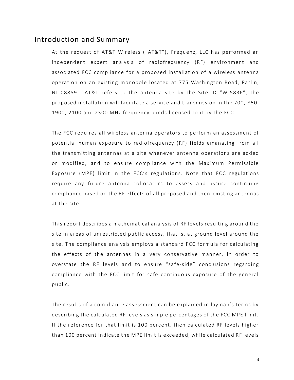#### <span id="page-2-0"></span>Introduction and Summary

At the request of AT&T Wireless ("AT&T"), Frequenz, LLC has performed an independent expert analysis of radiofrequency (RF) environment and associated FCC compliance for a proposed installation of a wireless antenna operation on an existing monopole located at 775 Washington Road, Parlin, NJ 08859. AT&T refers to the antenna site by the Site ID "W-5836", the proposed installation will facilitate a service and transmission in the 700, 850, 1900, 2100 and 2300 MHz frequency bands licensed to it by the FCC.

The FCC requires all wireless antenna operators to perform an assessment of potential human exposure to radiofrequency (RF) fields emanating from all the transmitting antennas at a site whenever antenna operations are added or modified, and to ensure compliance with the Maximum Permissible Exposure (MPE) limit in the FCC's regulations. Note that FCC regulations require any future antenna collocators to assess and assure continuing compliance based on the RF effects of all proposed and then -existing antennas at the site.

This report describes a mathematical analysis of RF levels resulting around the site in areas of unrestricted public access, that is, at ground level around the site. The compliance analysis employs a standard FCC formula for calculating the effects of the antennas in a very conservative manner, in order to overstate the RF levels and to ensure "safe -side" conclusions regarding compliance with the FCC limit for safe continuous exposure of the general public.

The results of a compliance assessment can be explained in layman's terms by describing the calculated RF levels as simple percentages of the FCC MPE limit. If the reference for that limit is 100 percent, then calculated RF levels higher than 100 percent indicate the MPE limit is exceeded, while calculated RF levels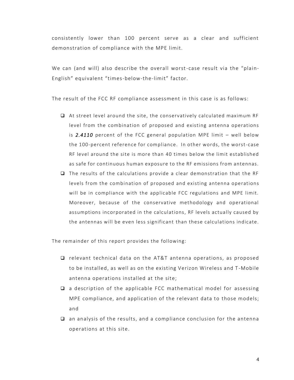consistently lower than 100 percent serve as a clear and sufficient demonstration of compliance with the MPE limit.

We can (and will) also describe the overall worst-case result via the "plain-English" equivalent "times-below-the-limit" factor.

The result of the FCC RF compliance assessment in this case is as follows:

- ❑ At street level around the site, the conservatively calculated maximum RF level from the combination of proposed and existing antenna operations is *2.4110* percent of the FCC general population MPE limit – well below the 100-percent reference for compliance. In other words, the worst-case RF level around the site is more than 40 times below the limit established as safe for continuous human exposure to the RF emissions from antennas.
- ❑ The results of the calculations provide a clear demonstration that the RF levels from the combination of proposed and existing antenna operations will be in compliance with the applicable FCC regulations and MPE limit. Moreover, because of the conservative methodology and operational assumptions incorporated in the calculations, RF levels actually caused by the antennas will be even less significant than these calculations indicate.

The remainder of this report provides the following:

- ❑ relevant technical data on the AT&T antenna operations, as proposed to be installed, as well as on the existing Verizon Wireless and T -Mobile antenna operations installed at the site;
- ❑ a description of the applicable FCC mathematical model for assessing MPE compliance, and application of the relevant data to those models; and
- ❑ an analysis of the results, and a compliance conclusion for the antenna operations at this site.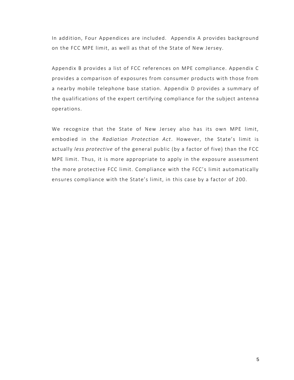In addition, Four Appendices are included. Appendix A provides background on the FCC MPE limit, as well as that of the State of New Jersey.

Appendix B provides a list of FCC references on MPE compliance. Appendix C provides a comparison of exposures from consumer products with those from a nearby mobile telephone base station. Appendix D provides a summary of the qualifications of the expert certifying compliance for the subject antenna operations.

We recognize that the State of New Jersey also has its own MPE limit, embodied in the *Radiation Protection Act*. However, the State's limit is actually *less protective* of the general public (by a factor of five) than the FCC MPE limit. Thus, it is more appropriate to apply in the exposure assessment the more protective FCC limit. Compliance with the FCC's limit automatically ensures compliance with the State's limit, in this case by a factor of 200.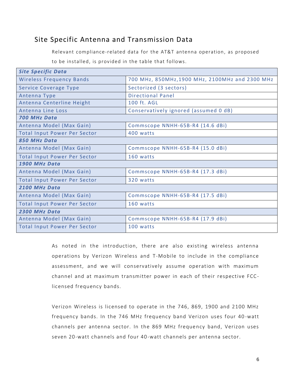## <span id="page-5-0"></span>Site Specific Antenna and Transmission Data

Relevant compliance-related data for the AT&T antenna operation, as proposed

to be installed, is provided in the table that follows.

| <b>Site Specific Data</b>           |                                                 |  |  |  |
|-------------------------------------|-------------------------------------------------|--|--|--|
| <b>Wireless Frequency Bands</b>     | 700 MHz, 850MHz, 1900 MHz, 2100MHz and 2300 MHz |  |  |  |
| Service Coverage Type               | Sectorized (3 sectors)                          |  |  |  |
| Antenna Type                        | <b>Directional Panel</b>                        |  |  |  |
| Antenna Centerline Height           | 100 ft. AGL                                     |  |  |  |
| Antenna Line Loss                   | Conservatively ignored (assumed 0 dB)           |  |  |  |
| 700 MHz Data                        |                                                 |  |  |  |
| Antenna Model (Max Gain)            | Commscope NNHH-65B-R4 (14.6 dBi)                |  |  |  |
| <b>Total Input Power Per Sector</b> | 400 watts                                       |  |  |  |
| 850 MHz Data                        |                                                 |  |  |  |
| Antenna Model (Max Gain)            | Commscope NNHH-65B-R4 (15.0 dBi)                |  |  |  |
| <b>Total Input Power Per Sector</b> | 160 watts                                       |  |  |  |
| 1900 MHz Data                       |                                                 |  |  |  |
| Antenna Model (Max Gain)            | Commscope NNHH-65B-R4 (17.3 dBi)                |  |  |  |
| <b>Total Input Power Per Sector</b> | 320 watts                                       |  |  |  |
| 2100 MHz Data                       |                                                 |  |  |  |
| Antenna Model (Max Gain)            | Commscope NNHH-65B-R4 (17.5 dBi)                |  |  |  |
| <b>Total Input Power Per Sector</b> | 160 watts                                       |  |  |  |
| 2300 MHz Data                       |                                                 |  |  |  |
| Antenna Model (Max Gain)            | Commscope NNHH-65B-R4 (17.9 dBi)                |  |  |  |
| <b>Total Input Power Per Sector</b> | 100 watts                                       |  |  |  |

As noted in the introduction, there are also existing wireless antenna operations by Verizon Wireless and T-Mobile to include in the compliance assessment, and we will conservatively assume operation with maximum channel and at maximum transmitter power in each of their respective FCClicensed frequency bands.

Verizon Wireless is licensed to operate in the 746, 869, 1900 and 2100 MHz frequency bands. In the 746 MHz frequency band Verizon uses four 40 -watt channels per antenna sector. In the 869 MHz freque ncy band, Verizon uses seven 20-watt channels and four 40-watt channels per antenna sector.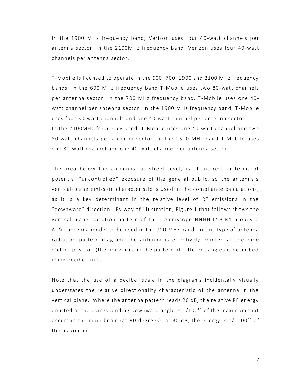In the 1900 MHz frequency band, Verizon uses four 40 -watt channels per antenna sector. In the 2100MHz frequency band, Verizon uses four 40 -watt channels per antenna sector.

T-Mobile is licensed to operate in the 600, 700, 1900 and 2100 MHz frequency bands. In the 600 MHz frequency band T-Mobile uses two 80-watt channels per antenna sector. In the 700 MHz frequency band, T-Mobile uses one 40watt channel per antenna sector. In the 1900 MHz frequency band, T-Mobile uses four 30-watt channels and one 40-watt channel per antenna sector. In the 2100MHz frequency band, T -Mobile uses one 40-watt channel and two 80-watt channels per antenna sector. In the 2500 MHz band T-Mobile uses one 80-watt channel and one 40-watt channel per antenna sector.

The area below the antennas, at street level, is of interest in terms of potential "uncontrolled" exposure of the general public, so the antenna's vertical-plane emission characteristic is used in the compliance calculations, as it is a key determinant in the relative level of RF emissions in the "downward" direction. By way of illustration, Figure 1 that follows shows the vertical-plane radiation pattern of the Commscope NNHH-65B-R4 proposed AT&T antenna model to be used in the 700 MHz band. In this type of antenna radiation pattern diagram, the antenna is effectively pointed at the nine o'clock position (the horizon) and the pattern at different angles is described using decibel units.

Note that the use of a decibel scale in the diagrams incidentally visually understates the relative directionality characteristic of the antenna in the vertical plane. Where the antenna pattern reads 20 dB, the relative RF energy emitted at the corresponding downward angle is 1/100<sup>th</sup> of the maximum that occurs in the main beam (at 90 degrees); at 30 dB, the energy is  $1/1000$ <sup>th</sup> of the maximum.

7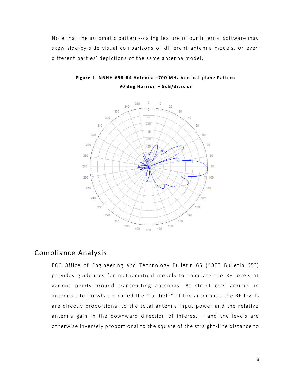Note that the automatic pattern-scaling feature of our internal software may skew side-by-side visual comparisons of different antenna models, or even different parties' depictions of the same antenna model.



**Figur e 1. NNHH-65B-R4 Anten na –700 M Hz Vertical-p lane Pattern 90 deg Hor izon – 5dB/d ivision**

#### <span id="page-7-0"></span>Compliance Analysis

FCC Office of Engineering and Technology Bulletin 65 ("OET Bulletin 65") provides guidelines for mathematical models to calculate the RF levels at various points around transmitting antennas. At street-level around an antenna site (in what is called the "far field" of the antennas), the RF levels are directly proportional to the total antenna input power and the relative antenna gain in the downward direction of interest – and the levels are otherwise inversely proportional to the square of the straight-line distance to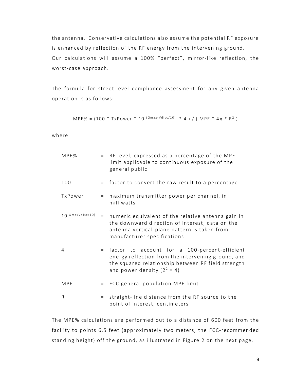the antenna. Conservative calculations also assume the potential RF exposure is enhanced by reflection of the RF energy from the intervening ground. Our calculations will assume a 100% "perfect", mirror-like reflection, the worst-case approach.

The formula for street-level compliance assessment for any given antenna operation is as follows:

 $\mathsf{MPE\%}$  = (100 \* TxPower \* 10  $^{(\mathsf{Gmax\{-Vdisc/10)}}}$  \* 4 ) / (  $\mathsf{MPE}$  \* 4 $\pi$  \*  $\mathsf{R}^2$  )

where

| MPE%                | $=$ | RF level, expressed as a percentage of the MPE<br>limit applicable to continuous exposure of the<br>general public                                                                         |
|---------------------|-----|--------------------------------------------------------------------------------------------------------------------------------------------------------------------------------------------|
| 100                 | $=$ | factor to convert the raw result to a percentage                                                                                                                                           |
| TxPower             | $=$ | maximum transmitter power per channel, in<br>milliwatts                                                                                                                                    |
| $10$ (GmaxVdisc/10) | $=$ | numeric equivalent of the relative antenna gain in<br>the downward direction of interest; data on the<br>antenna vertical-plane pattern is taken from<br>manufacturer specifications       |
| 4                   | $=$ | factor to account for a 100-percent-efficient<br>energy reflection from the intervening ground, and<br>the squared relationship between RF field strength<br>and power density $(2^2 = 4)$ |
| MPE                 | $=$ | FCC general population MPE limit                                                                                                                                                           |
| R                   | $=$ | straight-line distance from the RF source to the<br>point of interest, centimeters                                                                                                         |

The MPE% calculations are performed out to a distance of 600 feet from the facility to points 6.5 feet (approximately two meters, the FCC-recommended standing height) off the ground, as illustrated in Figure 2 on the next page.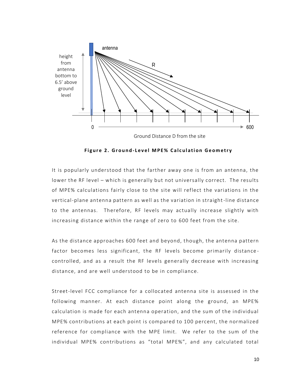

**Figure 2. Ground-Level MPE% Calculation Geometry** 

It is popularly understood that the farther away one is from an antenna, the lower the RF level – which is generally but not universally correct. The results of MPE% calculations fairly close to the site will reflect the variations in the vertical-plane antenna pattern as well as the variation in straight-line distance to the antennas. Therefore, RF levels may actually increase slightly with increasing distance within the range of zero to 600 feet from the site.

As the distance approaches 600 feet and beyond, though, the antenna pattern factor becomes less significant, the RF levels become primarily distance controlled, and as a result the RF levels generally decrease with increasing distance, and are well understood to be in compliance.

Street-level FCC compliance for a collocated antenna site is assessed in the following manner. At each distance point along the ground, an MPE% calculation is made for each antenna operation, and the sum of the individual MPE% contributions at each point is compared to 100 percent, the normalized reference for compliance with the MPE limit. We refer to the sum of the individual MPE% contributions as "total MPE%", and any calculated total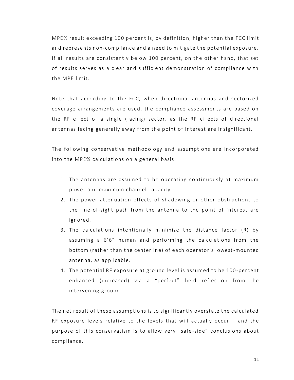MPE% result exceeding 100 percent is, by definition, higher than the FCC limit and represents non-compliance and a need to mitigate the potential exposure. If all results are consistently below 100 percent, on the other hand, that set of results serves as a clear and sufficient demonstration of compliance with the MPE limit.

Note that according to the FCC, when directional antennas and sectorized coverage arrangements are used, the compliance assessments are based on the RF effect of a single (facing) sector, as the RF effects of directional antennas facing generally away from the point of interest are insignificant.

The following conservative methodology and assumptions are incorporated into the MPE% calculations on a general basis:

- 1. The antennas are assumed to be operating continuously at maximum power and maximum channel capacity.
- 2. The power-attenuation effects of shadowing or other obstructions to the line-of-sight path from the antenna to the point of interest are ignored.
- 3. The calculations intentionally minimize the distance factor (R) by assuming a 6'6" human and performing the calculations from the bottom (rather than the centerline) of each operator's lowest -mounted antenna, as applicable.
- 4. The potential RF exposure at ground level is assumed to be 100 -percent enhanced (increased) via a "perfect" field reflection from the intervening ground.

The net result of these assumptions is to significantly overstate the calculated RF exposure levels relative to the levels that will actually occur – and the purpose of this conservatism is to allow very "safe -side" conclusions about compliance.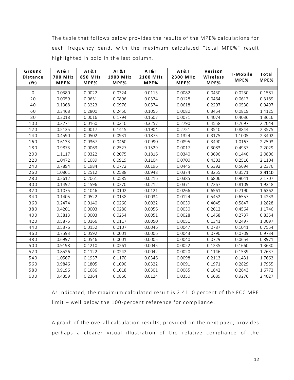The table that follows below provides the results of the MPE% calculations for each frequency band, with the maximum calculated "total MPE%" result highlighted in bold in the last column.

| Ground<br><b>Distance</b><br>(f <sub>t</sub> ) | AT&T<br><b>700 MHz</b><br>MPE% | AT&T<br>850 MHz<br>MPE% | AT&T<br>1900 MHz<br>MPE% | AT&T<br>2100 MHz<br>MPE% | AT&T<br>2300 MHz<br>MPE% | Verizon<br>Wireless<br>MPE% | T-Mobile<br>MPE% | Total<br>MPE% |
|------------------------------------------------|--------------------------------|-------------------------|--------------------------|--------------------------|--------------------------|-----------------------------|------------------|---------------|
|                                                |                                |                         |                          |                          |                          |                             |                  |               |
| $\mathbf 0$                                    | 0.0380                         | 0.0022                  | 0.0324                   | 0.0113                   | 0.0082                   | 0.0430                      | 0.0230           | 0.1581        |
| 20                                             | 0.0059                         | 0.0651                  | 0.0896                   | 0.0374                   | 0.0128                   | 0.0464                      | 0.0617           | 0.3189        |
| 40                                             | 0.1368                         | 0.3223                  | 0.0976                   | 0.0574                   | 0.0618                   | 0.2207                      | 0.0530           | 0.9497        |
| 60                                             | 0.3468                         | 0.2800                  | 0.2450                   | 0.1055                   | 0.0080                   | 0.3454                      | 0.0819           | 1.4125        |
| 80                                             | 0.2018                         | 0.0016                  | 0.1794                   | 0.1607                   | 0.0071                   | 0.4074                      | 0.4036           | 1.3616        |
| 100                                            | 0.3271                         | 0.0160                  | 0.0310                   | 0.3257                   | 0.2790                   | 0.4558                      | 0.7697           | 2.2044        |
| 120                                            | 0.5135                         | 0.0017                  | 0.1415                   | 0.1904                   | 0.2751                   | 0.3510                      | 0.8844           | 2.3575        |
| 140                                            | 0.4590                         | 0.0502                  | 0.0931                   | 0.1875                   | 0.1324                   | 0.3175                      | 1.1005           | 2.3402        |
| 160                                            | 0.6133                         | 0.0367                  | 0.0460                   | 0.0990                   | 0.0895                   | 0.3490                      | 1.0167           | 2.2503        |
| 180                                            | 0.9873                         | 0.0063                  | 0.2527                   | 0.1529                   | 0.0017                   | 0.3083                      | 0.4937           | 2.2029        |
| 200                                            | 1.1117                         | 0.0322                  | 0.2075                   | 0.1816                   | 0.0340                   | 0.3696                      | 0.1440           | 2.0806        |
| 220                                            | 1.0472                         | 0.1089                  | 0.0919                   | 0.1104                   | 0.0700                   | 0.4303                      | 0.2516           | 2.1104        |
| 240                                            | 0.7894                         | 0.1984                  | 0.0772                   | 0.0196                   | 0.0445                   | 0.5392                      | 0.5694           | 2.2376        |
| 260                                            | 1.0861                         | 0.2512                  | 0.2588                   | 0.0948                   | 0.0374                   | 0.3255                      | 0.3571           | 2.4110        |
| 280                                            | 0.2612                         | 0.2061                  | 0.0585                   | 0.0216                   | 0.0385                   | 0.6806                      | 0.9041           | 2.1707        |
| 300                                            | 0.1492                         | 0.1596                  | 0.0270                   | 0.0212                   | 0.0371                   | 0.7267                      | 0.8109           | 1.9318        |
| 320                                            | 0.1075                         | 0.1046                  | 0.0102                   | 0.0121                   | 0.0266                   | 0.6561                      | 0.7190           | 1.6362        |
| 340                                            | 0.1405                         | 0.0522                  | 0.0138                   | 0.0034                   | 0.0124                   | 0.5452                      | 0.6557           | 1.4233        |
| 360                                            | 0.2474                         | 0.0140                  | 0.0260                   | 0.0022                   | 0.0039                   | 0.4045                      | 0.5847           | 1.2828        |
| 380                                            | 0.4201                         | 0.0003                  | 0.0280                   | 0.0056                   | 0.0030                   | 0.2612                      | 0.4564           | 1.1746        |
| 400                                            | 0.3813                         | 0.0003                  | 0.0254                   | 0.0051                   | 0.0028                   | 0.1468                      | 0.2737           | 0.8354        |
| 420                                            | 0.5875                         | 0.0166                  | 0.0117                   | 0.0050                   | 0.0051                   | 0.1341                      | 0.2497           | 1.0097        |
| 440                                            | 0.5376                         | 0.0152                  | 0.0107                   | 0.0046                   | 0.0047                   | 0.0787                      | 0.1041           | 0.7554        |
| 460                                            | 0.7593                         | 0.0592                  | 0.0001                   | 0.0006                   | 0.0043                   | 0.0790                      | 0.0709           | 0.9734        |
| 480                                            | 0.6997                         | 0.0546                  | 0.0001                   | 0.0005                   | 0.0040                   | 0.0729                      | 0.0654           | 0.8971        |
| 500                                            | 0.9198                         | 0.1210                  | 0.0261                   | 0.0045                   | 0.0022                   | 0.1235                      | 0.1660           | 1.3630        |
| 520                                            | 0.8526                         | 0.1122                  | 0.0242                   | 0.0042                   | 0.0020                   | 0.1146                      | 0.1539           | 1.2637        |
| 540                                            | 1.0567                         | 0.1937                  | 0.1170                   | 0.0346                   | 0.0098                   | 0.2113                      | 0.1431           | 1.7663        |
| 560                                            | 0.9846                         | 0.1805                  | 0.1090                   | 0.0322                   | 0.0091                   | 0.1971                      | 0.2829           | 1.7955        |
| 580                                            | 0.9196                         | 0.1686                  | 0.1018                   | 0.0301                   | 0.0085                   | 0.1842                      | 0.2643           | 1.6772        |
| 600                                            | 0.4359                         | 0.2364                  | 0.0866                   | 0.0124                   | 0.0350                   | 0.6689                      | 0.9276           | 2.4027        |

As indicated, the maximum calculated result is 2.4110 percent of the FCC MPE limit – well below the 100-percent reference for compliance.

A graph of the overall calculation results, provided on the next page, provides perhaps a clearer visual illustration of the relative compliance of the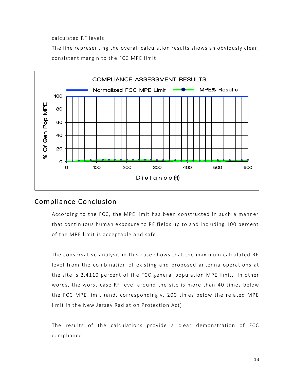calculated RF levels.

The line representing the overall calculation results shows an obviously clear, consistent margin to the FCC MPE limit.



#### <span id="page-12-0"></span>Compliance Conclusion

According to the FCC, the MPE limit has been constructed in such a manner that continuous human exposure to RF fields up to and including 100 percent of the MPE limit is acceptable and safe.

The conservative analysis in this case shows that the maximum calculated RF level from the combination of existing and proposed antenna operations at the site is 2.4110 percent of the FCC general population MPE limit. In other words, the worst-case RF level around the site is more than 40 times below the FCC MPE limit (and, correspondingly, 200 times below the related MPE limit in the New Jersey Radiation Protection Act).

The results of the calculations provide a clear demonstration of FCC compliance.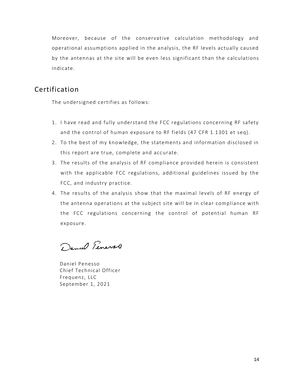Moreover, because of the conservative calculation methodology and operational assumptions applied in the analysis, the RF levels actually caused by the antennas at the site will be even less significant than the calculations indicate.

#### <span id="page-13-0"></span>Certification

The undersigned certifies as follows:

- 1. I have read and fully understand the FCC regulations concerning RF safety and the control of human exposure to RF fields (47 CFR 1.1301 et seq).
- 2. To the best of my knowledge, the statements and information disclosed in this report are true, complete and accurate.
- 3. The results of the analysis of RF compliance provided herein is consistent with the applicable FCC regulations, additional guidelines issued by the FCC, and industry practice.
- 4. The results of the analysis show that the maximal levels of RF energy of the antenna operations at the subject site will be in clear compliance with the FCC regulations concerning the control of potential human RF exposure.

Daniel Teners

Daniel Penesso Chief Technical Officer Frequenz, LLC September 1, 2021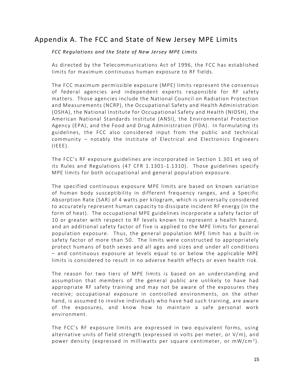### Appendix A. The FCC and State of New Jersey MPE Limits

#### *FCC Regulations and the State of New Jersey MPE Limits*

As directed by the Telecommunications Act of 1996, the FCC has established limits for maximum continuous human exposure to RF fields.

The FCC maximum permissible exposure (MPE) limits represent the consensus of federal agencies and independent experts r esponsible for RF safety matters. Those agencies include the National Council on Radiation Protection and Measurements (NCRP), the Occupational Safety and Health Administration (OSHA), the National Institute for Occupational Safety and Health (NIOSH), the American National Standards Institute (ANSI), the Environmental Protection Agency (EPA), and the Food and Drug Administration (FDA). In formulating its guidelines, the FCC also considered input from the public and technical community – notably the Institute of Electrical and Electronics Engineers  $(IEEE)$ .

The FCC's RF exposure guidelines are incorporated in Section 1.301 et seq of its Rules and Regulations (47 CFR 1.1301-1.1310). Those guidelines specify MPE limits for both occupational and general population exposure.

The specified continuous exposure MPE limits are based on known variation of human body susceptibility in different frequency ranges, and a Specific Absorption Rate (SAR) of 4 watts per kilogram, which is universally considered to accurately represent human capacity to dissipate incident RF energy (in the form of heat). The occupational MPE guidelines incorporate a safety factor of 10 or greater with respect to RF levels known to represent a health hazard, and an additional safety factor of five is applied to the MPE limits for general population exposure. Thus, the general population MPE limit has a built -in safety factor of more than 50. The limits were constructed to appropriately protect humans of both sexes and all ages and sizes and under all conditions – and continuous exposure at levels equal to or below the applicable MPE limits is considered to result in no adverse health effects or even health risk.

The reason for two tiers of MPE limits is based on an understanding and assumption that members of the general public are unlikely to have had appropriate RF safety training and may not be aware of the exposures they receive; occupational exposure in controlled environments, on the other hand, is assumed to involve individuals who have had such training, are aware of the exposures, and know how to maintain a safe personal work environment.

The FCC's RF exposure limits are expressed in two equivalent forms, using alternative units of field strength (expressed in volts per meter, or V/m), and power density (expressed in milliwatts per square centimeter, or mW/cm $^2$ ).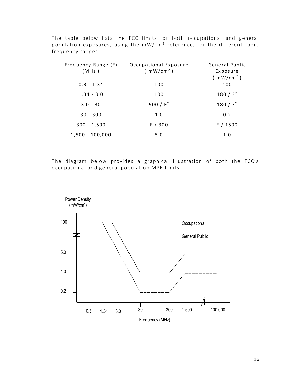The table below lists the FCC limits for both occupational and general population exposures, using the mW/cm $^2$  reference, for the different radio frequency ranges.

| Frequency Range (F)<br>(MHz) | Occupational Exposure<br>(mW/cm <sup>2</sup> ) | General Public<br>Exposure<br>(mW/cm <sup>2</sup> ) |
|------------------------------|------------------------------------------------|-----------------------------------------------------|
| $0.3 - 1.34$                 | 100                                            | 100                                                 |
| $1.34 - 3.0$                 | 100                                            | 180 / $F^2$                                         |
| $3.0 - 30$                   | 900 / $F^2$                                    | 180 / $F^2$                                         |
| $30 - 300$                   | 1.0                                            | 0.2                                                 |
| $300 - 1,500$                | F / 300                                        | F/1500                                              |
| $1,500 - 100,000$            | 5.0                                            | 1.0                                                 |

The diagram below provides a graphical illustration of both the FCC's occupational and general population MPE limits.

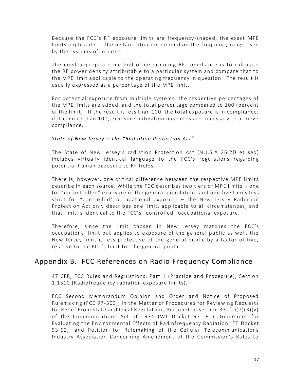Because the FCC's RF exposure limits are frequency -shaped, the exact MPE limits applicable to the instant situation depend on the frequency range used by the systems of interest.

The most appropriate method of determining RF compliance is to calculate the RF power density attributable to a particular system and compare that to the MPE limit applicable to the operating frequency in question. The result is usually expressed as a percentage of the MPE limit.

For potential exposure from multiple systems, the respective percentages of the MPE limits are added, and the total percentage compared to 100 (percent of the limit). If the result is less than 100, the total exposure is in compliance; if it is more than 100, exposure mitigation measures are necessary to achieve compliance.

#### *State of New Jersey – The "Radiation Protection Act"*

The State of New Jersey's radiation Protection Act (N.J.S.A 26:2D et seq) includes virtually identical language to the FCC's regulations regarding potential human exposure to RF fields.

There is, however, one critical difference between the respective MPE limits describe in each source. While the FCC describes two tiers of MPE limits – one for "uncontrolled" exposure of the general population, and one five times less strict for "controlled" occupational exposure – the New Jersey Radiation Protection Act only describes one limit, applicable to all circumstances, and that limit is identical to the FCC's "controlled" occupational exposure.

Therefore, since the limit chosen in New Jersey matches the FCC's occupational limit but applies to exposure of the general public as well, the New Jersey limit is less protective of the general public by a factor of five, relative to the FCC's limit for the general public.

#### Appendix B. FCC References on Radio Frequency Compliance

47 CFR, FCC Rules and Regulations, Part 1 (Practice and Procedure), Section 1.1310 (Radiofrequency radiation exposure limits).

FCC Second Memorandum Opinion and Order and Notice of Proposed Rulemaking (FCC 97-303), In the Matter of Procedures for Reviewing Requests for Relief From State and Local Regulations Pursuant to Section 332(c)(7)(B)(v) of the Communications Act of 1934 (WT Docket 97-192), Guidelines for Evaluating the Environmental Effects of Radiofrequency Radiation (ET Docket 93-62), and Petition for Rulemaking of the Cellular Telecommunications Industry Association Concerning Amendment of the Commission's Rules to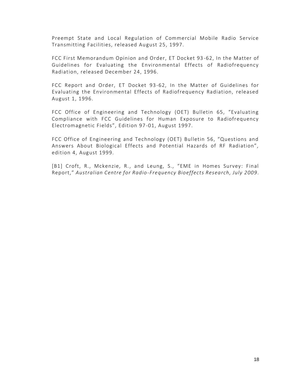Preempt State and Local Regulation of Commercial Mobile Radio Service Transmitting Facilities, released August 25, 1997.

FCC First Memorandum Opinion and Order, ET Docket 93 -62, In the Matter of Guidelines for Evaluating the Environmental Effects of Radiofrequency Radiation, released December 24, 1996.

FCC Report and Order, ET Docket 93-62, In the Matter of Guidelines for Evaluating the Environmental Effects of Radiofrequency Radiation, released August 1, 1996.

FCC Office of Engineering and Technology (OET) Bulletin 65, "Evaluating Compliance with FCC Guidelines for Human Exposure to Radiofrequency Electromagnetic Fields", Edition 97 -01, August 1997.

FCC Office of Engineering and Technology (OET) Bulletin 56, "Questions and Answers About Biological Effects and Potential Hazards of RF Radiation", edition 4, August 1999.

[B1] Croft, R., Mckenzie, R., and Leung, S., "EME in Homes Survey: Final Report," *Australian Centre for Radio-Frequency Bioeffects Research, July 2009*.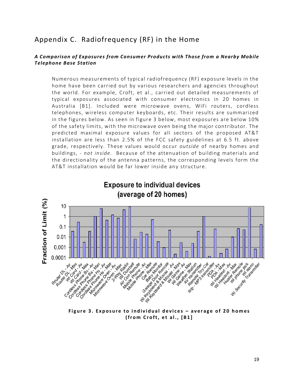## Appendix C. Radiofrequency (RF) in the Home

#### *A Comparison of Exposures from Consumer Products with Those from a Nearby Mobile Telephone Base Station*

Numerous measurements of typical radiofrequency (RF) exposure levels in the home have been carried out by various researchers and agencies throughout the world. For example, Croft, et al., carried out detailed measurements of typical exposures associated with consumer electronics in 20 homes in Australia [B1]. Included were microwave ovens, WiFi routers, cordless telephones, wireless computer keyboards, etc. Their results are summarized in the figures below. As seen in figure 3 below, most exposures are below 10% of the safety limits, with the microwave oven being the major contributor. The predicted maximal exposure values for all sectors of the proposed AT&T installation are less than 2.5% of the FCC safety guidelines at 6.5 ft. above grade, respectively. These values would occur *outside* of nearby homes and buildings, - *not inside.* Because of the attenuation of building materials and the directionality of the antenna patterns, the corresponding levels form the AT&T installation would be far lower inside any structure.



Figure 3. Exposure to individual devices - average of 20 homes **( f r o m C r o f t , e t a l . , [ B 1 ]**